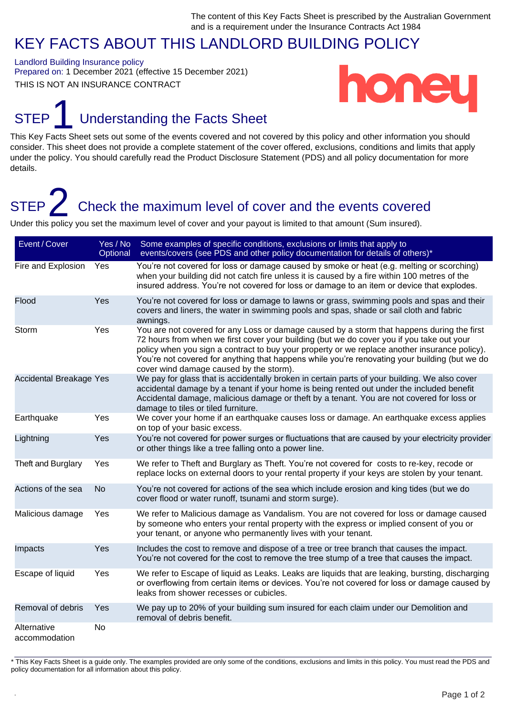### KEY FACTS ABOUT THIS LANDLORD BUILDING POLICY

Landlord Building Insurance policy Prepared on: 1 December 2021 (effective 15 December 2021) THIS IS NOT AN INSURANCE CONTRACT



### STEP<sup>1</sup> Understanding the Facts Sheet

This Key Facts Sheet sets out some of the events covered and not covered by this policy and other information you should consider. This sheet does not provide a complete statement of the cover offered, exclusions, conditions and limits that apply under the policy. You should carefully read the Product Disclosure Statement (PDS) and all policy documentation for more details.

## STEP 2 Check the maximum level of cover and the events covered

Under this policy you set the maximum level of cover and your payout is limited to that amount (Sum insured).

| Event / Cover                  | Yes / No<br>Optional | Some examples of specific conditions, exclusions or limits that apply to<br>events/covers (see PDS and other policy documentation for details of others)*                                                                                                                                                                                                                                                                            |
|--------------------------------|----------------------|--------------------------------------------------------------------------------------------------------------------------------------------------------------------------------------------------------------------------------------------------------------------------------------------------------------------------------------------------------------------------------------------------------------------------------------|
| Fire and Explosion             | Yes                  | You're not covered for loss or damage caused by smoke or heat (e.g. melting or scorching)<br>when your building did not catch fire unless it is caused by a fire within 100 metres of the<br>insured address. You're not covered for loss or damage to an item or device that explodes.                                                                                                                                              |
| Flood                          | Yes                  | You're not covered for loss or damage to lawns or grass, swimming pools and spas and their<br>covers and liners, the water in swimming pools and spas, shade or sail cloth and fabric<br>awnings.                                                                                                                                                                                                                                    |
| Storm                          | Yes                  | You are not covered for any Loss or damage caused by a storm that happens during the first<br>72 hours from when we first cover your building (but we do cover you if you take out your<br>policy when you sign a contract to buy your property or we replace another insurance policy).<br>You're not covered for anything that happens while you're renovating your building (but we do<br>cover wind damage caused by the storm). |
| <b>Accidental Breakage Yes</b> |                      | We pay for glass that is accidentally broken in certain parts of your building. We also cover<br>accidental damage by a tenant if your home is being rented out under the included benefit<br>Accidental damage, malicious damage or theft by a tenant. You are not covered for loss or<br>damage to tiles or tiled furniture.                                                                                                       |
| Earthquake                     | Yes                  | We cover your home if an earthquake causes loss or damage. An earthquake excess applies<br>on top of your basic excess.                                                                                                                                                                                                                                                                                                              |
| Lightning                      | Yes                  | You're not covered for power surges or fluctuations that are caused by your electricity provider<br>or other things like a tree falling onto a power line.                                                                                                                                                                                                                                                                           |
| Theft and Burglary             | Yes                  | We refer to Theft and Burglary as Theft. You're not covered for costs to re-key, recode or<br>replace locks on external doors to your rental property if your keys are stolen by your tenant.                                                                                                                                                                                                                                        |
| Actions of the sea             | <b>No</b>            | You're not covered for actions of the sea which include erosion and king tides (but we do<br>cover flood or water runoff, tsunami and storm surge).                                                                                                                                                                                                                                                                                  |
| Malicious damage               | Yes                  | We refer to Malicious damage as Vandalism. You are not covered for loss or damage caused<br>by someone who enters your rental property with the express or implied consent of you or<br>your tenant, or anyone who permanently lives with your tenant.                                                                                                                                                                               |
| Impacts                        | Yes                  | Includes the cost to remove and dispose of a tree or tree branch that causes the impact.<br>You're not covered for the cost to remove the tree stump of a tree that causes the impact.                                                                                                                                                                                                                                               |
| Escape of liquid               | Yes                  | We refer to Escape of liquid as Leaks. Leaks are liquids that are leaking, bursting, discharging<br>or overflowing from certain items or devices. You're not covered for loss or damage caused by<br>leaks from shower recesses or cubicles.                                                                                                                                                                                         |
| Removal of debris              | Yes                  | We pay up to 20% of your building sum insured for each claim under our Demolition and<br>removal of debris benefit.                                                                                                                                                                                                                                                                                                                  |
| Alternative<br>accommodation   | <b>No</b>            |                                                                                                                                                                                                                                                                                                                                                                                                                                      |

\* This Key Facts Sheet is a guide only. The examples provided are only some of the conditions, exclusions and limits in this policy. You must read the PDS and policy documentation for all information about this policy.